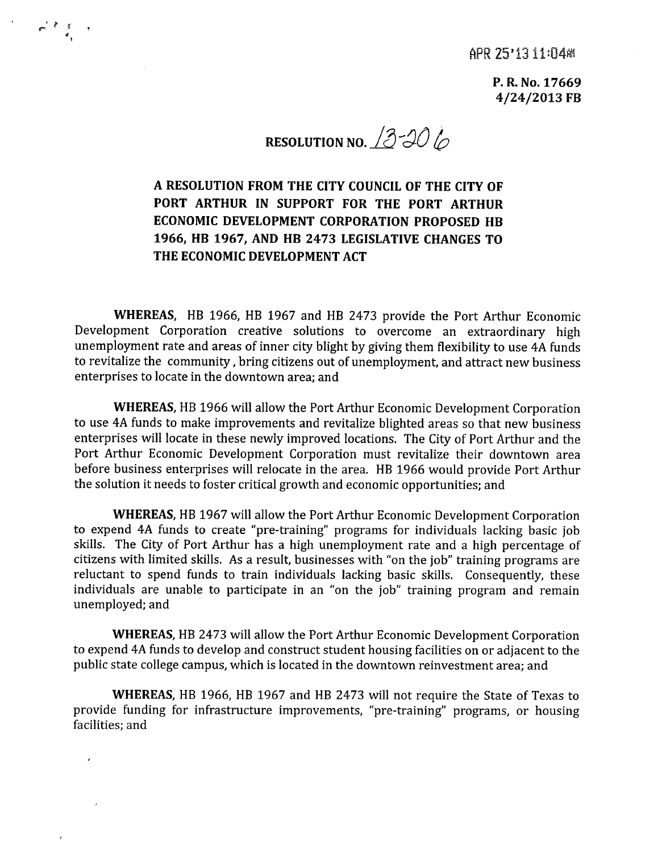APR 25'1311:04 M

**P.R.No.17669 4/24/2013 FB**

**RESOLUTION NO.** 2306

**A RESOLUTION FROM THE CITY COUNCIL OF THE CITY OF PORT ARTHUR IN SUPPORT FOR THE PORT ARTHUR ECONOMIC DEVELOPMENT CORPORATION PROPOSED HB 1966, HB 1967, AND HB 2473 LEGISLATIVE CHANGES TO THE ECONOMIC DEVELOPMENT ACT**

*, r <sup>&</sup>lt;* ""..; -:; II I

> **WHEREAS,** HB 1966, HB 1967 and HB 2473 provide the Port Arthur Economic Development Corporation creative solutions to overcome an extraordinary high unemployment rate and areas of inner city blight by giving them flexibility to use 4A funds to revitalize the community, bring citizens out of unemployment, and attract new business enterprises to locate in the downtown area; and

> **WHEREAS,** HB 1966 will allow the Port Arthur Economic Development Corporation to use 4A funds to make improvements and revitalize blighted areas so that new business enterprises will locate in these newly improved locations. The City of Port Arthur and the Port Arthur Economic Development Corporation must revitalize their downtown area before business enterprises will relocate in the area. HB 1966 would provide Port Arthur the solution it needs to foster critical growth and economic opportunities; and

> **WHEREAS,** HB 1967 will allow the Port Arthur Economic Development Corporation to expend 4A funds to create "pre-training" programs for individuals lacking basic job skills. The City of Port Arthur has a high unemployment rate and a high percentage of citizens with limited skills. As a result, businesses with "on the job" training programs are reluctant to spend funds to train individuals lacking basic skills. Consequently, these individuals are unable to participate in an "on the job" training program and remain unemployed; and

> **WHEREAS,** HB2473 will allow the Port Arthur Economic Development Corporation to expend 4A funds to develop and construct student housing facilities on or adjacent to the public state college campus, which is located in the downtown reinvestment area; and

> **WHEREAS,** HB 1966, HB 1967 and HB 2473 will not require the State of Texas to provide funding for infrastructure improvements, "pre-training" programs, or housing facilities; and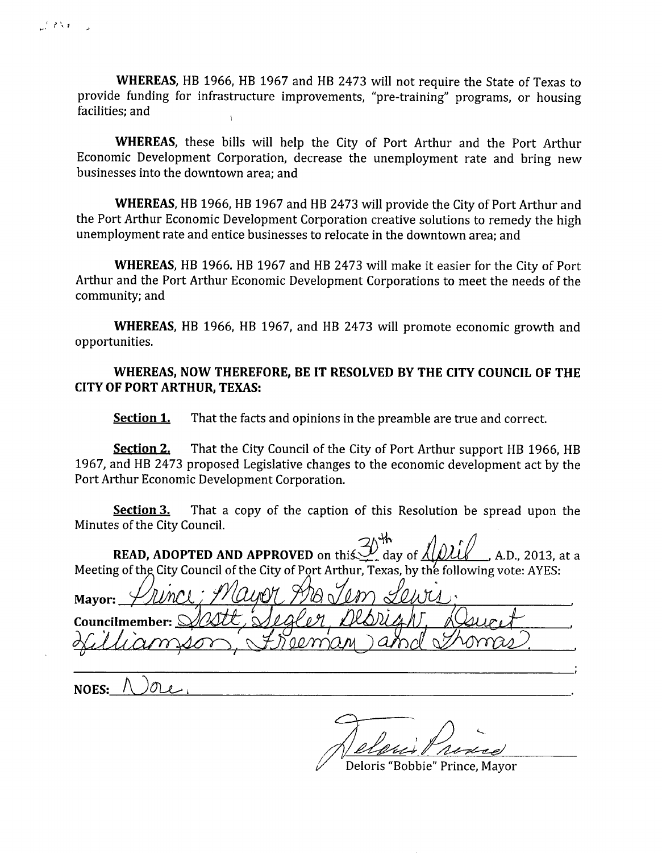WHEREAS, HB 1966, HB 1967 and HB 2473 will not require the State of Texas to provide funding for infrastructure improvements, "pre-training" programs, or housing facilities; and

WHEREAS, these bills will help the City of Port Arthur and the Port Arthur Economic Development Corporation, decrease the unemployment rate and bring new businesses into the downtown area; and

WHEREAS, HB 1966, HB 1967 and HB 2473 will provide the City of Port Arthur and the Port Arthur Economic Development Corporation creative solutions to remedy the high unemployment rate and entice businesses to relocate in the downtown area; and

WHEREAS, HB 1966. HB 1967 and HB 2473 will make it easier for the City of Port Arthur and the Port Arthur Economic Development Corporations to meet the needs of the community; and

WHEREAS, HB 1966, HB 1967, and HB 2473 will promote economic growth and opportunities.

## WHEREAS, NOW THEREFORE, BE IT RESOLVED BY THE CITY COUNCIL OF THE CITY OF PORT ARTHUR, TEXAS:

**Section 1.** That the facts and opinions in the preamble are true and correct.

**Section 2.** That the City Council of the City of Port Arthur support HB 1966, HB 1967, and HB 2473 proposed Legislative changes to the economic development act by the Port Arthur Economic Development Corporation.

**Section 3.** That a copy of the caption of this Resolution be spread upon the Minutes of the City Council.

**READ, ADOPTED AND APPROVED** on this  $\mathcal{Y}$  day of  $\lambda$   $\lambda$   $\lambda$   $\lambda$   $\lambda$   $\lambda$ . 2013, at a

Meeting of th City Council of the City of Port Arthur, Texas, by the following vote: AYES: Mayor: '. ' *dam,* Councilmember:  $\{$ 

NOES:

~~

Deloris "Bobbie" Prince, Mayor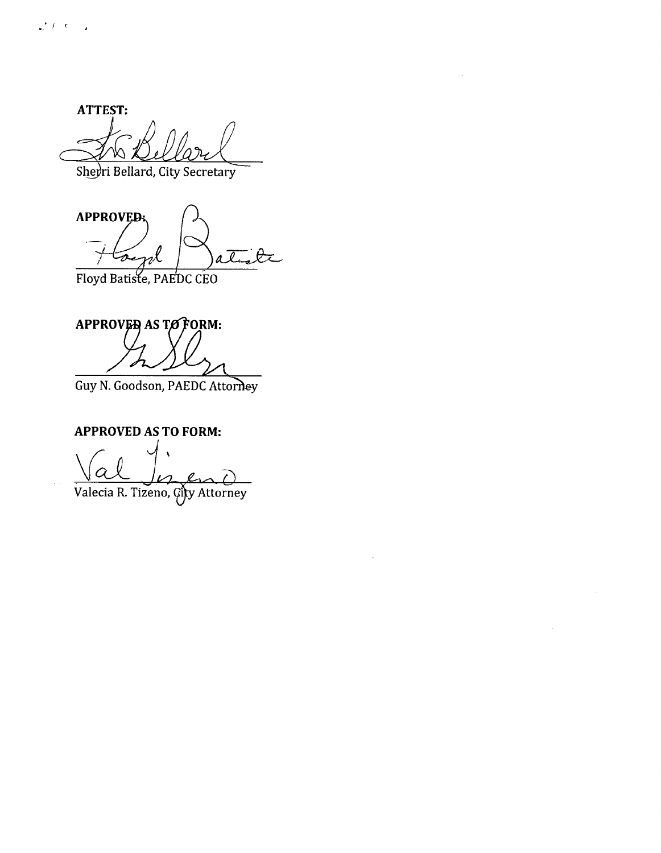ATTEST:

Sheyri Bellard, City Secretary

**APPROVED** toenl aĪ

Floyd Batiste, PAEDC CEO

APPROVED AS TO FORM:

Guy N. Goodson, PAEDC Attorney

# **APPROVED AS TO FORM:**

o

Valecia R. Tizeno, City Attorney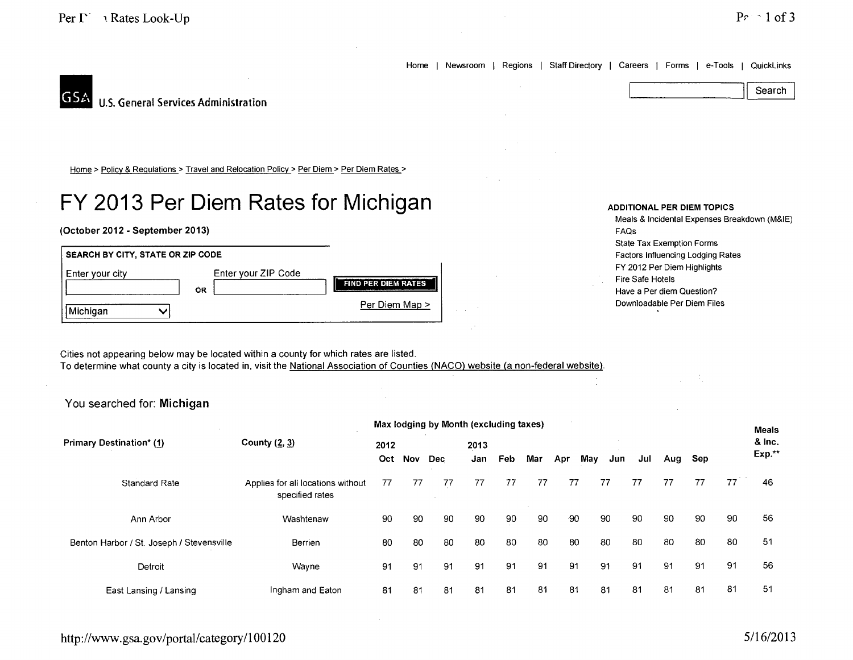Home | Newsroom | Regions | Staff Directory | Careers | Forms | e-Tools | QuickLinks Search



Home > Policy & Regulations > Travel and Relocation Policy > Per Diem > Per Diem Rates >

# **FY 2013 Per Diem Rates for Michigan**

#### (October 2012 - September 2013)



### ADDITIONAL PER DIEM TOPICS Meals & Incidental Expenses Breakdown (M&IE) FAQs State Tax Exemption Forms Factors Influencing Lodging Rates FY 2012 Per Diem Highlights Fire Safe Hotels Have a Per diem Question? Downloadable Per Diem Files

Cities not appearing below may be located within a county for which rates are listed. To determine what county a city is located in, visit the National Association of Counties (NACO) website (a non-federal website).

# You searched for: Michigan

|                                           |                                                      | Max lodging by Month (excluding taxes) |     |      |     |            |     |     |     |     |        |     |     | <b>Meals</b> |         |
|-------------------------------------------|------------------------------------------------------|----------------------------------------|-----|------|-----|------------|-----|-----|-----|-----|--------|-----|-----|--------------|---------|
| <b>Primary Destination* (1)</b>           | County $(2, 3)$                                      | 2012                                   |     | 2013 |     |            |     |     |     |     | & Inc. |     |     |              |         |
|                                           |                                                      | Oct                                    | Nov | Dec  | Jan | <b>Feb</b> | Mar | Apr | May | Jun | Jul    | Aug | Sep |              | $Exp.*$ |
| Standard Rate                             | Applies for all locations without<br>specified rates | 77                                     | 77  | 77   | 77  | 77         | 77  | 77  |     | 77  | 77     | 77  | 77  | 77           | 46      |
| Ann Arbor                                 | Washtenaw                                            | 90                                     | 90  | 90   | 90  | 90         | 90  | -90 |     | 90  | 90     | 90  | 90  | 90           | 56      |
| Benton Harbor / St. Joseph / Stevensville | Berrien                                              | 80                                     | 80  | 80   | 80  | 80         | 80  | 80  |     | 80  | 80     | 80  | 80  | 80           | 51      |
| Detroit                                   | Wayne                                                | 91                                     | 91  | 91   | 91  | 91         | 91  | 91  |     | 91  | 91     | 91  | 91  | 91           | 56      |
| East Lansing / Lansing                    | Ingham and Eaton                                     | 81                                     | 81  | 81   | 81  | 81         | 81  | 81  |     | 81  | 81     | 81  | 81  | 81           | 51      |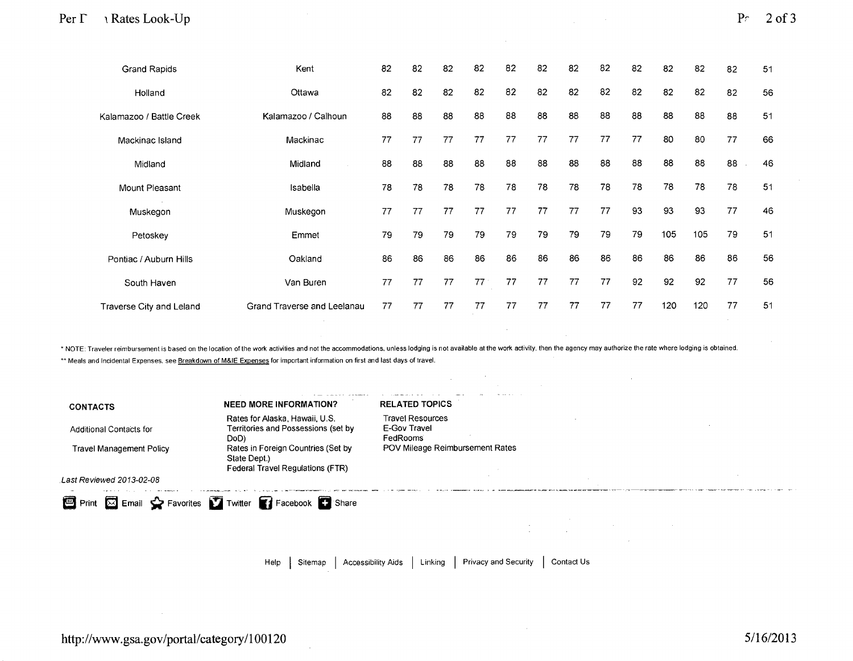| <b>Grand Rapids</b>      | Kent                        | 82 | 82 | 82 | 82 | 82 | 82 | 82 | 82 | 82 | 82  | 82  | 82 | 51 |
|--------------------------|-----------------------------|----|----|----|----|----|----|----|----|----|-----|-----|----|----|
| Holland                  | Ottawa                      | 82 | 82 | 82 | 82 | 82 | 82 | 82 | 82 | 82 | 82  | 82  | 82 | 56 |
| Kalamazoo / Battle Creek | Kalamazoo / Calhoun         | 88 | 88 | 88 | 88 | 88 | 88 | 88 | 88 | 88 | 88  | 88  | 88 | 51 |
| Mackinac Island          | Mackinac                    | 77 | 77 | 77 | 77 | 77 | 77 | 77 | 77 | 77 | 80  | 80  | 77 | 66 |
| Midland                  | Midland                     | 88 | 88 | 88 | 88 | 88 | 88 | 88 | 88 | 88 | 88  | 88  | 88 | 46 |
| Mount Pleasant           | Isabella                    | 78 | 78 | 78 | 78 | 78 | 78 | 78 | 78 | 78 | 78  | 78  | 78 | 51 |
| Muskegon                 | Muskegon                    | 77 | 77 | 77 | 77 | 77 | 77 | 77 | 77 | 93 | 93  | 93  | 77 | 46 |
| Petoskey                 | Emmet                       | 79 | 79 | 79 | 79 | 79 | 79 | 79 | 79 | 79 | 105 | 105 | 79 | 51 |
| Pontiac / Auburn Hills   | Oakland                     | 86 | 86 | 86 | 86 | 86 | 86 | 86 | 86 | 86 | 86  | 86  | 86 | 56 |
| South Haven              | Van Buren                   | 77 | 77 | 77 | 77 | 77 | 77 | 77 | 77 | 92 | 92  | 92  | 77 | 56 |
| Traverse City and Leland | Grand Traverse and Leelanau | 77 | 77 | 77 | 77 | 77 | 77 | 77 | 77 | 77 | 120 | 120 | 77 | 51 |

\* NOTE: Traveler reimbursement is based on the location of the work activities and not the accommodations, unless lodging is not available at the work activity, then the agency may authorize the rate where lodging is obtai \*\* Meals and Incidental Expenses. see Breakdown of M&IE Expenses for important information on first and last days of travel.

| <b>CONTACTS</b>                 | <b>NEED MORE INFORMATION?</b>                                                          | <b>RELATED TOPICS</b>                               |
|---------------------------------|----------------------------------------------------------------------------------------|-----------------------------------------------------|
| <b>Additional Contacts for</b>  | Rates for Alaska, Hawaii, U.S.<br>Territories and Possessions (set by<br>DoD)          | <b>Travel Resources</b><br>E-Gov Travel<br>FedRooms |
| <b>Travel Management Policy</b> | Rates in Foreign Countries (Set by<br>State Dept.)<br>Federal Travel Regulations (FTR) | POV Mileage Reimbursement Rates                     |
| Last Reviewed 2013-02-08        |                                                                                        |                                                     |
|                                 | Print X Email Stravorites T Twitter T Facebook C Share                                 |                                                     |
|                                 |                                                                                        | <b>Contractor</b>                                   |

 $\sim 10^{-1}$ 

 $\mathcal{F}_{\mathcal{A}}$  .

 $\sim$   $\sim$ 

Help | Sitemap | Accessibility Aids | Linking | Privacy and Security | Contact Us

 $\sim$